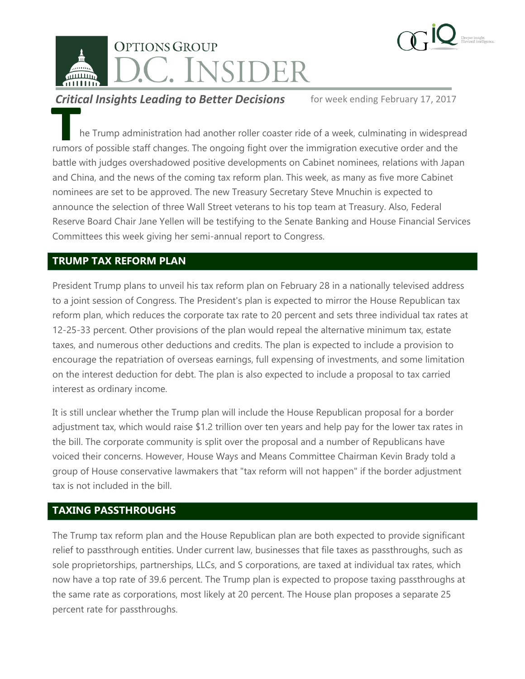

**Critical Insights Leading to Better Decisions** for week ending February 17, 2017

he Trump administration had another roller coaster ride of a week, culminating in widespread rumors of possible staff changes. The ongoing fight over the immigration executive order and the battle with judges overshadowed positive developments on Cabinet nominees, relations with Japan and China, and the news of the coming tax reform plan. This week, as many as five more Cabinet nominees are set to be approved. The new Treasury Secretary Steve Mnuchin is expected to announce the selection of three Wall Street veterans to his top team at Treasury. Also, Federal Reserve Board Chair Jane Yellen will be testifying to the Senate Banking and House Financial Services Committees this week giving her semi-annual report to Congress. **THE**<br>Tumors<br>**hattle** 

## **TRUMP TAX REFORM PLAN**

President Trump plans to unveil his tax reform plan on February 28 in a nationally televised address to a joint session of Congress. The President's plan is expected to mirror the House Republican tax reform plan, which reduces the corporate tax rate to 20 percent and sets three individual tax rates at 12-25-33 percent. Other provisions of the plan would repeal the alternative minimum tax, estate taxes, and numerous other deductions and credits. The plan is expected to include a provision to encourage the repatriation of overseas earnings, full expensing of investments, and some limitation on the interest deduction for debt. The plan is also expected to include a proposal to tax carried interest as ordinary income.

It is still unclear whether the Trump plan will include the House Republican proposal for a border adjustment tax, which would raise \$1.2 trillion over ten years and help pay for the lower tax rates in the bill. The corporate community is split over the proposal and a number of Republicans have voiced their concerns. However, House Ways and Means Committee Chairman Kevin Brady told a group of House conservative lawmakers that "tax reform will not happen" if the border adjustment tax is not included in the bill.

# **TAXING PASSTHROUGHS**

The Trump tax reform plan and the House Republican plan are both expected to provide significant relief to passthrough entities. Under current law, businesses that file taxes as passthroughs, such as sole proprietorships, partnerships, LLCs, and S corporations, are taxed at individual tax rates, which now have a top rate of 39.6 percent. The Trump plan is expected to propose taxing passthroughs at the same rate as corporations, most likely at 20 percent. The House plan proposes a separate 25 percent rate for passthroughs.